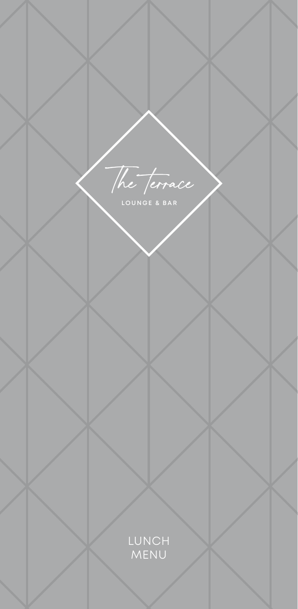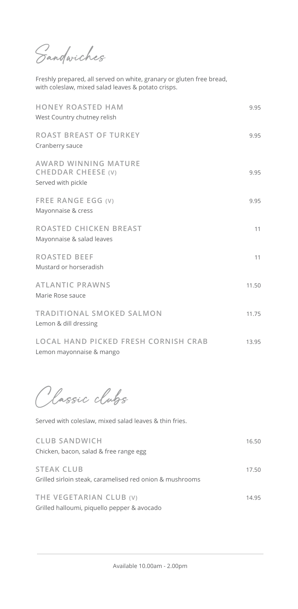Sandwiches

Freshly prepared, all served on white, granary or gluten free bread, with coleslaw, mixed salad leaves & potato crisps.

| <b>HONEY ROASTED HAM</b><br>West Country chutney relish          | 9.95  |
|------------------------------------------------------------------|-------|
| <b>ROAST BREAST OF TURKEY</b><br>Cranberry sauce                 | 9.95  |
| AWARD WINNING MATURE<br>CHEDDAR CHEESE (V)<br>Served with pickle | 9.95  |
| FREE RANGE EGG (V)<br>Mayonnaise & cress                         | 9.95  |
| ROASTED CHICKEN BREAST<br>Mayonnaise & salad leaves              | 11    |
| <b>ROASTED BEEF</b><br>Mustard or horseradish                    | 11    |
| <b>ATLANTIC PRAWNS</b><br>Marie Rose sauce                       | 11.50 |
| TRADITIONAL SMOKED SALMON<br>Lemon & dill dressing               | 11.75 |
| LOCAL HAND PICKED FRESH CORNISH CRAB<br>Lemon mayonnaise & mango | 13.95 |

Classic clubs

Served with coleslaw, mixed salad leaves & thin fries.

| <b>CLUB SANDWICH</b>                                     | 16.50 |
|----------------------------------------------------------|-------|
| Chicken, bacon, salad & free range egg                   |       |
| <b>STEAK CLUB</b>                                        | 17.50 |
| Grilled sirloin steak, caramelised red onion & mushrooms |       |
|                                                          |       |
| THE VEGETARIAN CLUB (V)                                  | 14.95 |
| Grilled halloumi, piquello pepper & avocado              |       |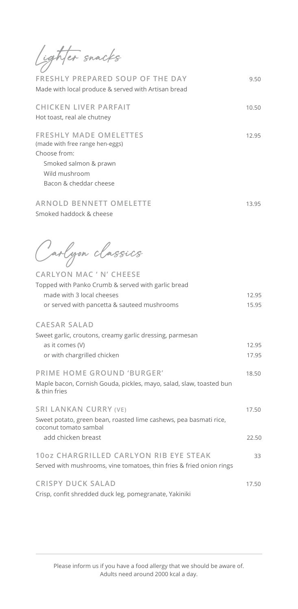| Lighter snacks                                                                                                                                                                       |                |
|--------------------------------------------------------------------------------------------------------------------------------------------------------------------------------------|----------------|
| FRESHLY PREPARED SOUP OF THE DAY<br>Made with local produce & served with Artisan bread                                                                                              | 9.50           |
| <b>CHICKEN LIVER PARFAIT</b><br>Hot toast, real ale chutney                                                                                                                          | 10.50          |
| <b>FRESHLY MADE OMELETTES</b><br>(made with free range hen-eggs)<br>Choose from:<br>Smoked salmon & prawn<br>Wild mushroom<br>Bacon & cheddar cheese                                 | 12.95          |
| <b>ARNOLD BENNETT OMELETTE</b><br>Smoked haddock & cheese                                                                                                                            | 13.95          |
| Carlyon classics<br><b>CARLYON MAC ' N' CHEESE</b><br>Topped with Panko Crumb & served with garlic bread<br>made with 3 local cheeses<br>or served with pancetta & sauteed mushrooms | 12.95<br>15.95 |
| <b>CAESAR SALAD</b><br>Sweet garlic, croutons, creamy garlic dressing, parmesan<br>as it comes (V)<br>or with chargrilled chicken                                                    | 12.95<br>17.95 |
| PRIME HOME GROUND 'BURGER'<br>Maple bacon, Cornish Gouda, pickles, mayo, salad, slaw, toasted bun<br>& thin fries                                                                    | 18.50          |
| <b>SRI LANKAN CURRY (VE)</b><br>Sweet potato, green bean, roasted lime cashews, pea basmati rice,<br>coconut tomato sambal                                                           | 17.50          |
| add chicken breast                                                                                                                                                                   | 22.50          |
| 10oz CHARGRILLED CARLYON RIB EYE STEAK<br>Served with mushrooms, vine tomatoes, thin fries & fried onion rings                                                                       | 33             |
| <b>CRISPY DUCK SALAD</b><br>Crisp, confit shredded duck leg, pomegranate, Yakiniki                                                                                                   | 17.50          |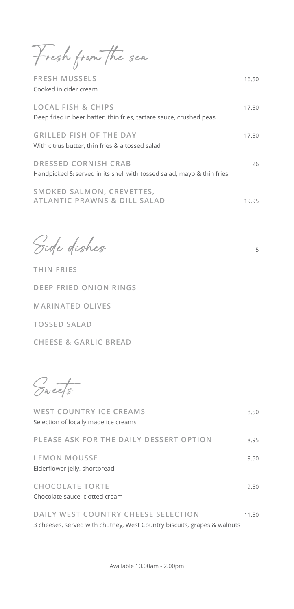Fresh from the sea

**FRESH MUSSELS** 16.50 Cooked in cider cream

| <b>LOCAL FISH &amp; CHIPS</b><br>Deep fried in beer batter, thin fries, tartare sauce, crushed peas  | 17.50 |
|------------------------------------------------------------------------------------------------------|-------|
| <b>GRILLED FISH OF THE DAY</b><br>With citrus butter, thin fries & a tossed salad                    | 17.50 |
| <b>DRESSED CORNISH CRAB</b><br>Handpicked & served in its shell with tossed salad, mayo & thin fries | 26    |
| SMOKED SALMON, CREVETTES,                                                                            |       |

**ATLANTIC PRAWNS & DILL SALAD** 19.95

Side dishes 5

**THIN FRIES DEEP FRIED ONION RINGS MARINATED OLIVES TOSSED SALAD CHEESE & GARLIC BREAD** 

Sweets

| <b>WEST COUNTRY ICE CREAMS</b>                                                                                 | 8.50  |
|----------------------------------------------------------------------------------------------------------------|-------|
| Selection of locally made ice creams                                                                           |       |
| PLEASE ASK FOR THE DAILY DESSERT OPTION                                                                        | 8.95  |
| <b>LEMON MOUSSE</b><br>Elderflower jelly, shortbread                                                           | 9.50  |
| <b>CHOCOLATE TORTE</b><br>Chocolate sauce, clotted cream                                                       | 9.50  |
| DAILY WEST COUNTRY CHEESE SELECTION<br>3 cheeses, served with chutney, West Country biscuits, grapes & walnuts | 11.50 |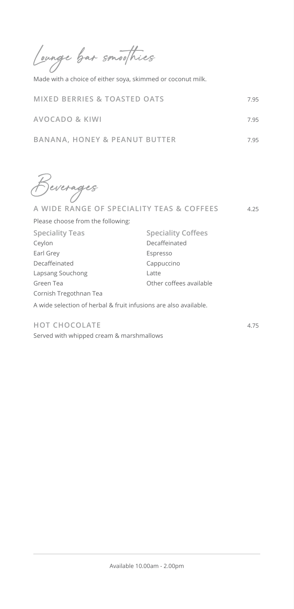Lounge bar smoothies

Made with a choice of either soya, skimmed or coconut milk.

| <b>MIXED BERRIES &amp; TOASTED OATS</b> |  |
|-----------------------------------------|--|
|-----------------------------------------|--|

| <b>AVOCADO &amp; KIWI</b> | 7.95 |  |
|---------------------------|------|--|

|  | BANANA, HONEY & PEANUT BUTTER | 7.95 |
|--|-------------------------------|------|
|  |                               |      |

Beverages

| A WIDE RANGE OF SPECIALITY TEAS & COFFEES                        |                           |  |  |
|------------------------------------------------------------------|---------------------------|--|--|
| Please choose from the following:                                |                           |  |  |
| <b>Speciality Teas</b>                                           | <b>Speciality Coffees</b> |  |  |
| Ceylon                                                           | Decaffeinated             |  |  |
| Earl Grey                                                        | Espresso                  |  |  |
| Decaffeinated                                                    | Cappuccino                |  |  |
| Lapsang Souchong                                                 | Latte                     |  |  |
| Green Tea                                                        | Other coffees available   |  |  |
| Cornish Tregothnan Tea                                           |                           |  |  |
| A wide selection of herbal & fruit infusions are also available. |                           |  |  |

## **HOT CHOCOLATE** 4.75

Served with whipped cream & marshmallows